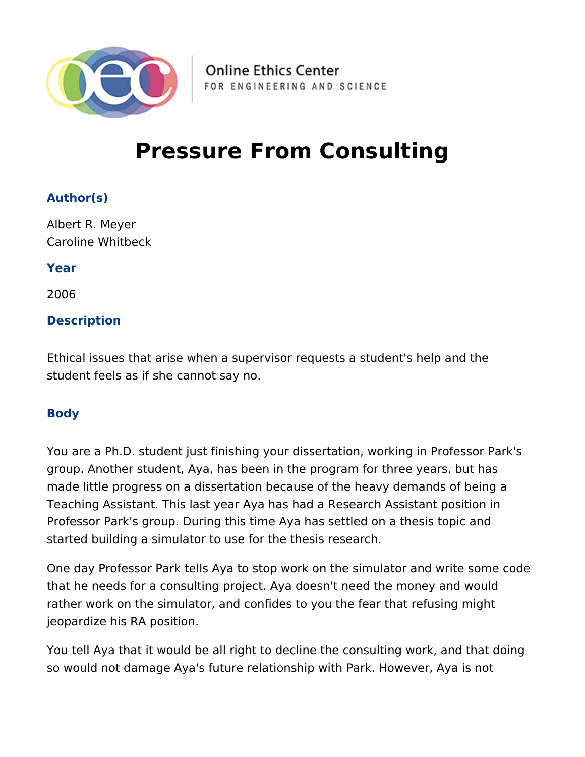

**Online Ethics Center** FOR ENGINEERING AND SCIENCE

# **Pressure From Consulting**

## **Author(s)**

Albert R. Meyer Caroline Whitbeck

**Year**

2006

## **Description**

Ethical issues that arise when a supervisor requests a student's help and the student feels as if she cannot say no.

## **Body**

You are a Ph.D. student just finishing your dissertation, working in Professor Park's group. Another student, Aya, has been in the program for three years, but has made little progress on a dissertation because of the heavy demands of being a Teaching Assistant. This last year Aya has had a Research Assistant position in Professor Park's group. During this time Aya has settled on a thesis topic and started building a simulator to use for the thesis research.

One day Professor Park tells Aya to stop work on the simulator and write some code that he needs for a consulting project. Aya doesn't need the money and would rather work on the simulator, and confides to you the fear that refusing might jeopardize his RA position.

You tell Aya that it would be all right to decline the consulting work, and that doing so would not damage Aya's future relationship with Park. However, Aya is not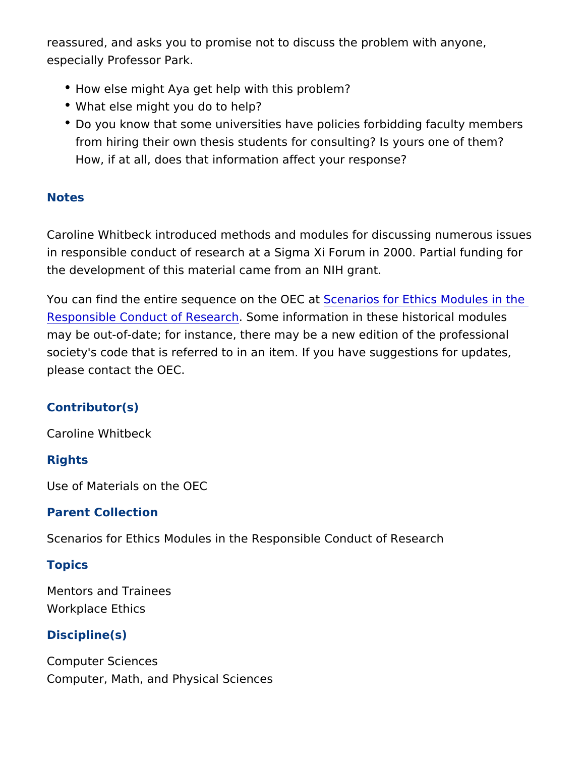reassured, and asks you to promise not to discuss the problem wi especially Professor Park.

- How else might Aya get help with this problem?
- What else might you do to help?
- Do you know that some universities have policies forbidding faculty of from hiring their own thesis students for consulting? Is yours How, if at all, does that information affect your response?

#### Notes

Caroline Whitbeck introduced methods and modules for discussing in responsible conduct of research at a Sigma Xi Forum in 2000. the development of this material came from an NIH grant.

You can find the entire sequence  $\delta$ retherios C cart Ethics Modules in [Responsible Conduct of](https://onlineethics.org/taxonomy/term/1796) RSecsmer chiormation in these historical mod may be out-of-date; for instance, there may be a new edition of the society's code that is referred to in an item. If you have suggesti please contact the OEC.

### Contributor(s)

Caroline Whitbeck

Rights

Use of Materials on the OEC

Parent Collection

Scenarios for Ethics Modules in the Responsible Conduct of Rese

Topics

Mentors and Trainees Workplace Ethics

#### Discipline(s)

Computer Sciences Computer, Math, and Physical Sciences